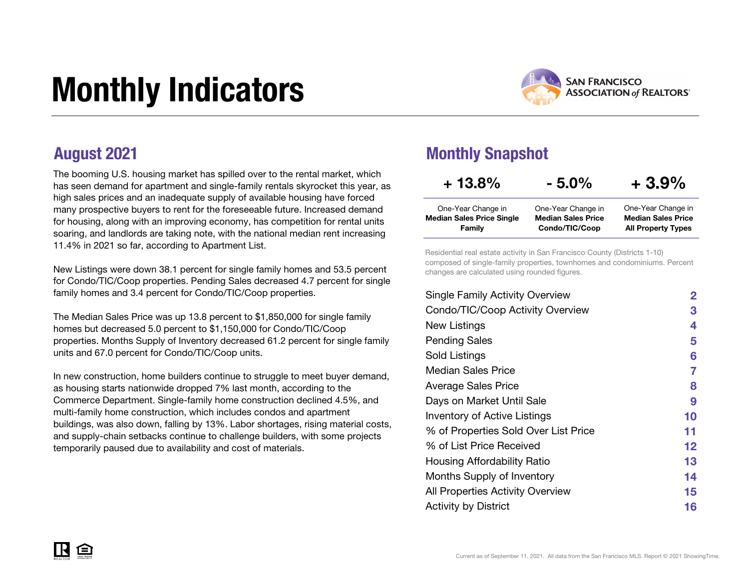# Monthly Indicators



The booming U.S. housing market has spilled over to the rental market, which has seen demand for apartment and single-family rentals skyrocket this year, as high sales prices and an inadequate supply of available housing have forced many prospective buyers to rent for the foreseeable future. Increased demand for housing, along with an improving economy, has competition for rental units soaring, and landlords are taking note, with the national median rent increasing 11.4% in 2021 so far, according to Apartment List.

New Listings were down 38.1 percent for single family homes and 53.5 percent for Condo/TIC/Coop properties. Pending Sales decreased 4.7 percent for single family homes and 3.4 percent for Condo/TIC/Coop properties.

The Median Sales Price was up 13.8 percent to \$1,850,000 for single family homes but decreased 5.0 percent to \$1,150,000 for Condo/TIC/Coop properties. Months Supply of Inventory decreased 61.2 percent for single family units and 67.0 percent for Condo/TIC/Coop units.

In new construction, home builders continue to struggle to meet buyer demand, as housing starts nationwide dropped 7% last month, according to the Commerce Department. Single-family home construction declined 4.5%, and multi-family home construction, which includes condos and apartment buildings, was also down, falling by 13%. Labor shortages, rising material costs, and supply-chain setbacks continue to challenge builders, with some projects temporarily paused due to availability and cost of materials.

#### August 2021 **Monthly Snapshot**

| $+13.8\%$                        | $-5.0\%$                  | $+3.9%$                   |
|----------------------------------|---------------------------|---------------------------|
| One-Year Change in               | One-Year Change in        | One-Year Change in        |
| <b>Median Sales Price Single</b> | <b>Median Sales Price</b> | <b>Median Sales Price</b> |
| Family                           | Condo/TIC/Coop            | <b>All Property Types</b> |

Residential real estate activity in San Francisco County (Districts 1-10) composed of single-family properties, townhomes and condominiums. Percent changes are calculated using rounded figures.

| <b>Single Family Activity Overview</b> | 2       |
|----------------------------------------|---------|
| Condo/TIC/Coop Activity Overview       | 3       |
| New Listings                           | 4       |
| <b>Pending Sales</b>                   | 5       |
| Sold Listings                          | 6       |
| Median Sales Price                     | 7       |
| <b>Average Sales Price</b>             | 8       |
| Days on Market Until Sale              | 9       |
| <b>Inventory of Active Listings</b>    | 10      |
| % of Properties Sold Over List Price   | 11      |
| % of List Price Received               | $12 \,$ |
| Housing Affordability Ratio            | 13      |
| Months Supply of Inventory             | 14      |
| All Properties Activity Overview       | 15      |
| <b>Activity by District</b>            | 16      |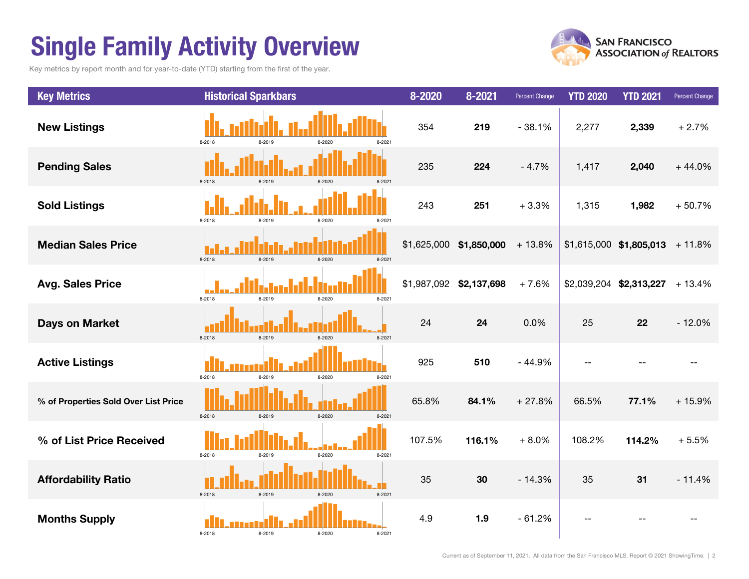## Single Family Activity Overview

Key metrics by report month and for year-to-date (YTD) starting from the first of the year.



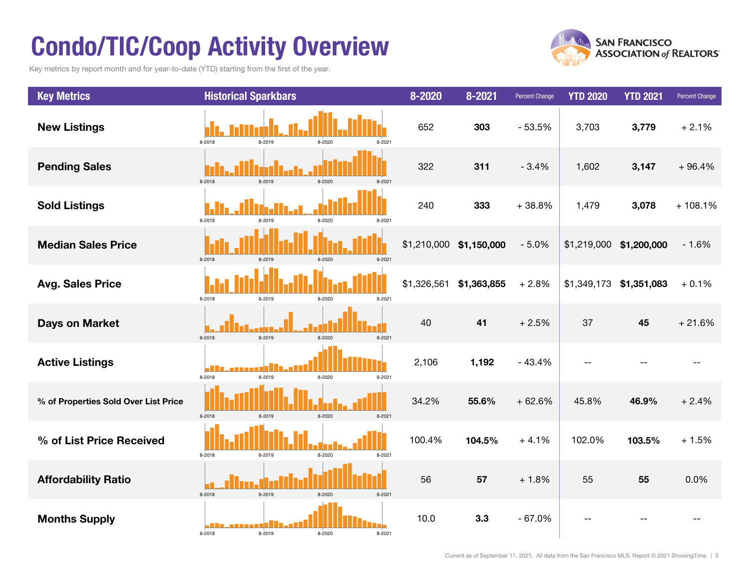## Condo/TIC/Coop Activity Overview

Key metrics by report month and for year-to-date (YTD) starting from the first of the year.



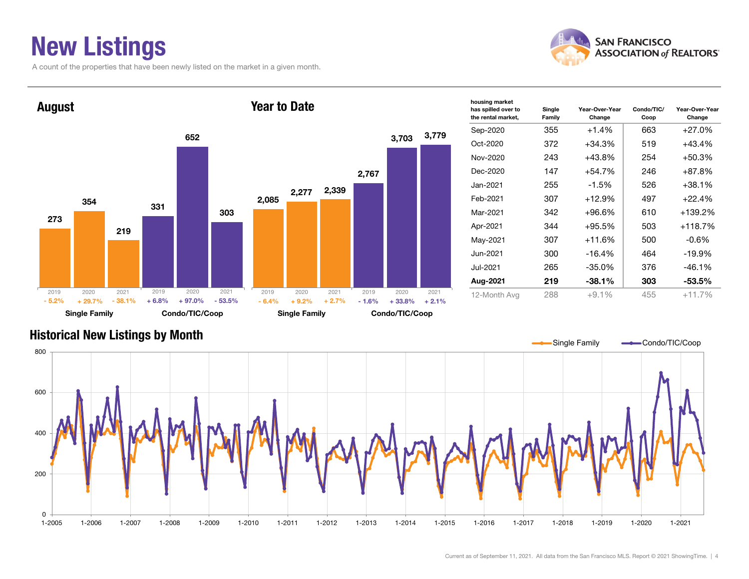### New Listings

A count of the properties that have been newly listed on the market in a given month.







Current as of September 11, 2021. All data from the San Francisco MLS. Report © 2021 ShowingTime. | 4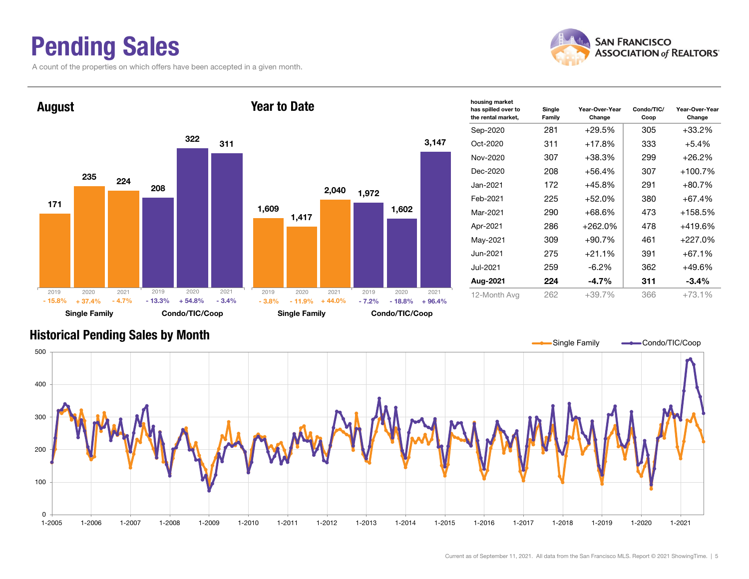### Pending Sales

171

2019

- 15.8%

August

235

2020

A count of the properties on which offers have been accepted in a given month.





| has spilled over to<br>the rental market, | Single<br>Family | Year-Over-Year<br>Change | Condo/TIC/<br>Coop | Year-Over-Year<br>Change |
|-------------------------------------------|------------------|--------------------------|--------------------|--------------------------|
| Sep-2020                                  | 281              | $+29.5%$                 | 305                | $+33.2%$                 |
| Oct-2020                                  | 311              | $+17.8%$                 | 333                | $+5.4%$                  |
| Nov-2020                                  | 307              | +38.3%                   | 299                | $+26.2%$                 |
| Dec-2020                                  | 208              | $+56.4\%$                | 307                | $+100.7%$                |
| Jan-2021.                                 | 172              | +45.8%                   | 291                | $+80.7\%$                |
| Feb-2021                                  | 225              | $+52.0%$                 | 380                | $+67.4%$                 |
| Mar-2021                                  | 290              | $+68.6\%$                | 473                | $+158.5%$                |
| Apr-2021                                  | 286              | $+262.0%$                | 478                | $+419.6%$                |
| May-2021                                  | 309              | $+90.7%$                 | 461                | +227.0%                  |
| Jun-2021                                  | 275              | $+21.1%$                 | 391                | $+67.1%$                 |
| Jul-2021                                  | 259              | $-6.2\%$<br>362          |                    | $+49.6%$                 |
| Aug-2021                                  | 224              | $-4.7\%$                 | 311                | -3.4%                    |
| 12-Month Avg                              | 262              | $+39.7%$                 | 366                | $+73.1%$                 |

#### Historical Pending Sales by Month

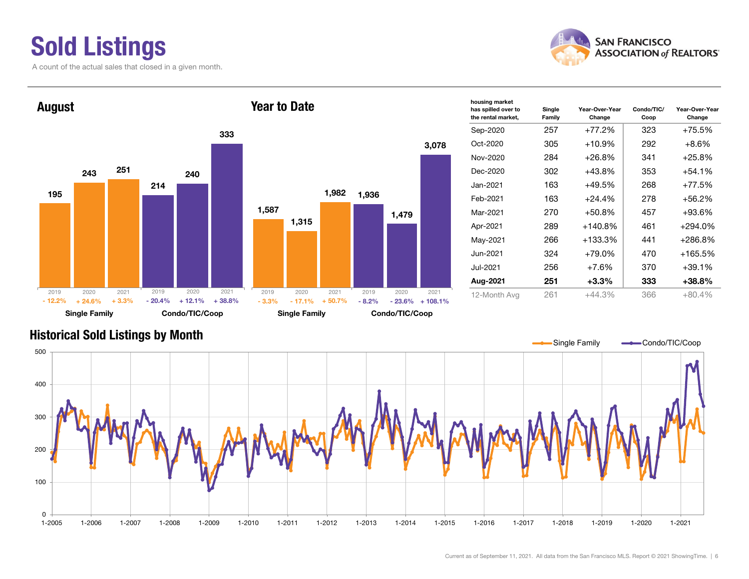### Sold Listings

A count of the actual sales that closed in a given month.





| housing market<br>has spilled over to<br>the rental market, | Single<br>Family | Year-Over-Year<br>Change | Condo/TIC/<br>Coop | Year-Over-Year<br>Change |
|-------------------------------------------------------------|------------------|--------------------------|--------------------|--------------------------|
| Sep-2020                                                    | 257              | +77.2%                   | 323                | +75.5%                   |
| Oct-2020                                                    | 305              | +10.9%                   | 292                | $+8.6\%$                 |
| Nov-2020                                                    | 284              | +26.8%                   | 341                | +25.8%                   |
| Dec-2020                                                    | 302              | $+43.8%$                 | 353                | $+54.1%$                 |
| Jan-2021                                                    | 163              | $+49.5%$                 | 268                | +77.5%                   |
| Feb-2021                                                    | 163              | $+24.4%$                 | 278                | +56.2%                   |
| Mar-2021                                                    | 270              | $+50.8%$                 | 457                | +93.6%                   |
| Apr-2021                                                    | 289              | $+140.8%$                | 461                | $+294.0\%$               |
| May-2021                                                    | 266              | $+133.3\%$               | 441                | +286.8%                  |
| Jun-2021                                                    | 324              | $+79.0%$                 | 470                | $+165.5%$                |
| Jul-2021.                                                   | 256              | $+7.6%$                  | 370                | $+39.1%$                 |
| Aug-2021                                                    | 251              | $+3.3\%$                 | 333                | $+38.8%$                 |
| 12-Month Avg                                                | 261              | $+44.3%$                 | 366                | $+80.4%$                 |

#### Historical Sold Listings by Month



3,078

 $-23.6\% + 108.1\%$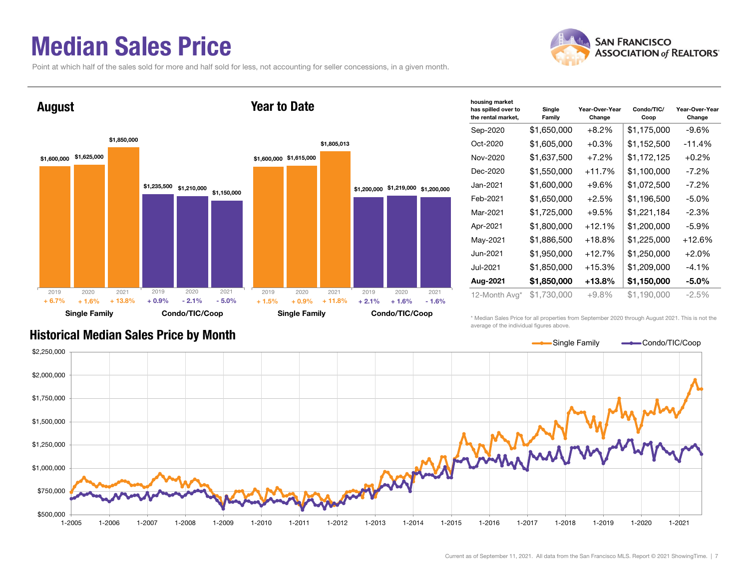#### Median Sales Price

Point at which half of the sales sold for more and half sold for less, not accounting for seller concessions, in a given month.



| housing market<br>has spilled over to<br>the rental market, | Single<br>Family | Year-Over-Year<br>Change | Condo/TIC/<br>Coop | Year-Over-Year<br>Change |
|-------------------------------------------------------------|------------------|--------------------------|--------------------|--------------------------|
| Sep-2020                                                    | \$1,650,000      | $+8.2\%$                 | \$1,175,000        | $-9.6%$                  |
| Oct-2020                                                    | \$1,605,000      | $+0.3%$                  | \$1,152,500        | $-11.4%$                 |
| Nov-2020                                                    | \$1,637,500      | $+7.2%$                  | \$1,172,125        | $+0.2%$                  |
| Dec-2020                                                    | \$1,550,000      | $+11.7%$                 | \$1,100,000        | -7.2%                    |
| Jan-2021                                                    | \$1,600,000      | $+9.6%$                  | \$1,072,500        | $-7.2\%$                 |
| Feb-2021                                                    | \$1,650,000      | $+2.5%$                  | \$1,196,500        | $-5.0\%$                 |
| Mar-2021                                                    | \$1,725,000      | $+9.5%$                  | \$1,221,184        | $-2.3%$                  |
| Apr-2021                                                    | \$1,800,000      | $+12.1%$                 | \$1,200,000        | $-5.9\%$                 |
| May-2021                                                    | \$1,886,500      | +18.8%                   | \$1,225,000        | $+12.6%$                 |
| Jun-2021                                                    | \$1,950,000      | $+12.7%$                 | \$1,250,000        | $+2.0%$                  |
| Jul-2021                                                    | \$1,850,000      | $+15.3%$                 | \$1,209,000        | $-4.1\%$                 |
| Aug-2021                                                    | \$1,850,000      | +13.8%                   | \$1,150,000        | -5.0%                    |
| 12-Month Avg*                                               | \$1,730,000      | $+9.8%$                  | \$1,190,000        | $-2.5%$                  |

#### Historical Median Sales Price by Month

\* Median Sales Price for all properties from September 2020 through August 2021. This is not the average of the individual figures above.



#### **SAN FRANCISCO ASSOCIATION of REALTORS'**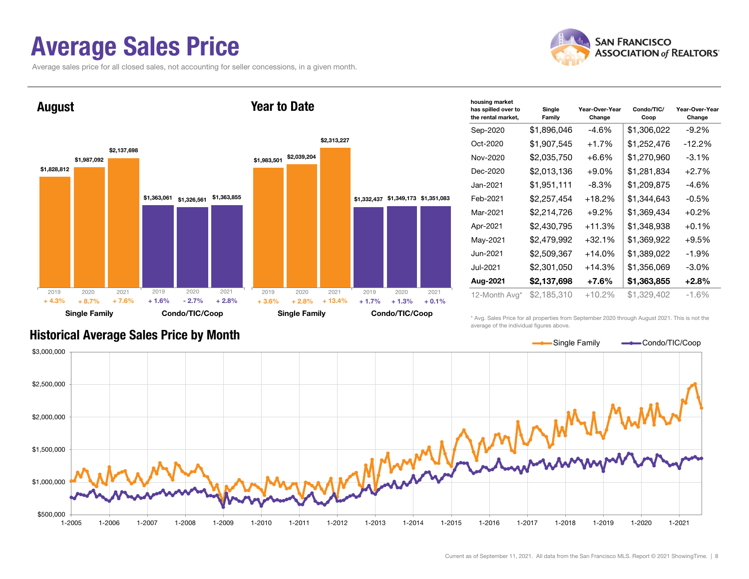#### Average Sales Price

Average sales price for all closed sales, not accounting for seller concessions, in a given month.





| housing market                            |                  |                          |                    |                          |
|-------------------------------------------|------------------|--------------------------|--------------------|--------------------------|
| has spilled over to<br>the rental market, | Single<br>Family | Year-Over-Year<br>Change | Condo/TIC/<br>Coop | Year-Over-Year<br>Change |
| Sep-2020                                  | \$1,896,046      | -4.6%                    | \$1,306,022        | $-9.2\%$                 |
| Oct-2020                                  | \$1,907,545      | $+1.7%$                  | \$1,252,476        | -12.2%                   |
| Nov-2020                                  | \$2,035,750      | $+6.6\%$                 | \$1,270,960        | $-3.1\%$                 |
| Dec-2020                                  | \$2,013,136      | $+9.0\%$                 | \$1,281,834        | $+2.7%$                  |
| Jan-2021                                  | \$1,951,111      | $-8.3\%$                 | \$1,209,875        | -4.6%                    |
| Feb-2021                                  | \$2,257,454      | $+18.2\%$                | \$1,344,643        | -0.5%                    |
| Mar-2021                                  | \$2,214,726      | $+9.2\%$                 | \$1,369,434        | $+0.2%$                  |
| Apr-2021                                  | \$2,430,795      | $+11.3%$                 | \$1,348,938        | $+0.1%$                  |
| May-2021                                  | \$2,479,992      | $+32.1%$                 | \$1,369,922        | $+9.5%$                  |
| Jun-2021                                  | \$2,509,367      | $+14.0%$                 | \$1,389,022        | $-1.9%$                  |
| Jul-2021                                  | \$2,301,050      | $+14.3%$                 | \$1,356,069        | $-3.0\%$                 |
| Aug-2021                                  | \$2,137,698      | $+7.6\%$                 | \$1,363,855        | $+2.8%$                  |
| 12-Month Avg*                             | \$2,185,310      | $+10.2%$                 | \$1,329,402        | $-1.6\%$                 |

Historical Average Sales Price by Month

\* Avg. Sales Price for all properties from September 2020 through August 2021. This is not the average of the individual figures above.

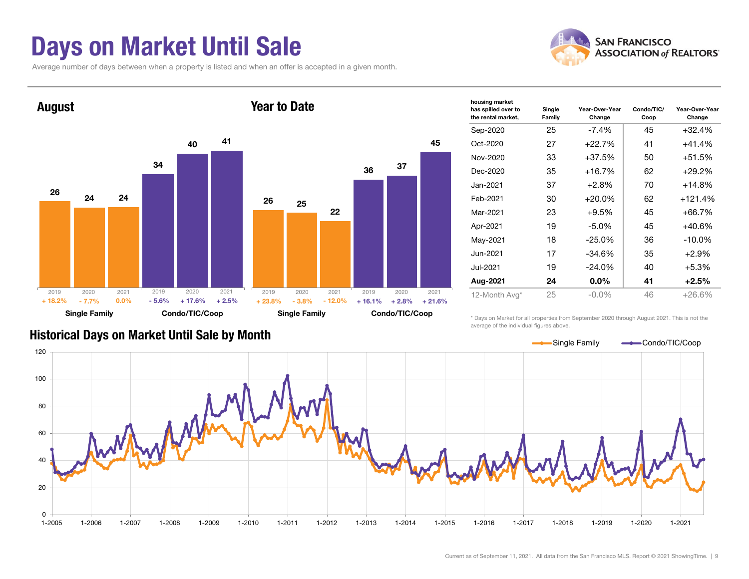#### Days on Market Until Sale

Average number of days between when a property is listed and when an offer is accepted in a given month.





| housing market<br>has spilled over to<br>the rental market, | Single<br>Family | Year-Over-Year<br>Change | Condo/TIC/<br>Coop | Year-Over-Year<br>Change |
|-------------------------------------------------------------|------------------|--------------------------|--------------------|--------------------------|
| Sep-2020                                                    | 25               | $-7.4%$                  | 45                 | $+32.4%$                 |
| Oct-2020                                                    | 27               | $+22.7%$                 | 41                 | $+41.4%$                 |
| Nov-2020                                                    | 33               | $+37.5%$                 | 50                 | $+51.5%$                 |
| Dec-2020                                                    | 35               | $+16.7%$                 | 62                 | $+29.2%$                 |
| Jan-2021                                                    | 37               | $+2.8%$                  | 70                 | $+14.8%$                 |
| Feb-2021                                                    | 30               | $+20.0\%$                | 62                 | $+121.4%$                |
| Mar-2021                                                    | 23               | $+9.5%$                  | 45                 | $+66.7%$                 |
| Apr-2021                                                    | 19               | $-5.0\%$                 | 45                 | $+40.6%$                 |
| May-2021                                                    | 18               | $-25.0\%$                | 36                 | $-10.0\%$                |
| Jun-2021                                                    | 17               | $-34.6%$                 | 35                 | $+2.9\%$                 |
| Jul-2021                                                    | 19               | $-24.0\%$                | 40                 | $+5.3%$                  |
| Aug-2021                                                    | 24               | $0.0\%$                  | 41                 | $+2.5%$                  |
| 12-Month Avg*                                               | 25               | $-0.0\%$                 | 46                 | $+26.6%$                 |

\* Days on Market for all properties from September 2020 through August 2021. This is not the average of the individual figures above.



#### Historical Days on Market Until Sale by Month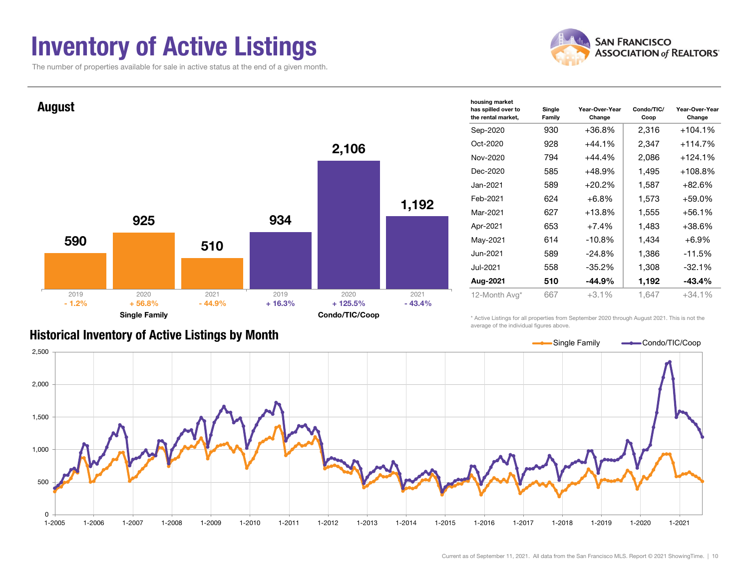### Inventory of Active Listings

The number of properties available for sale in active status at the end of a given month.

![](_page_9_Picture_2.jpeg)

![](_page_9_Figure_3.jpeg)

#### Historical Inventory of Active Listings by Month

average of the individual figures above.

![](_page_9_Figure_6.jpeg)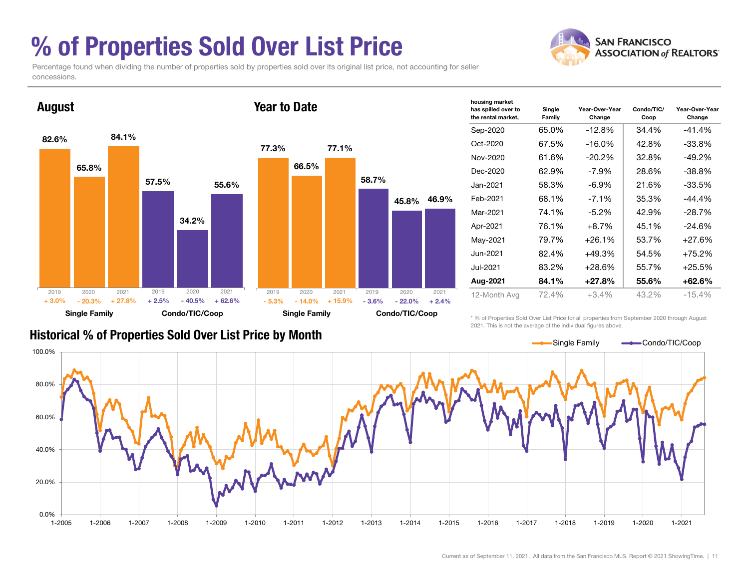### % of Properties Sold Over List Price

**SAN FRANCISCO ASSOCIATION of REALTORS'** 

Percentage found when dividing the number of properties sold by properties sold over its original list price, not accounting for seller concessions.

![](_page_10_Figure_3.jpeg)

| housing market<br>has spilled over to<br>the rental market, | Single<br>Family | Year-Over-Year<br>Change | Condo/TIC/<br>Coop | Year-Over-Year<br>Change |
|-------------------------------------------------------------|------------------|--------------------------|--------------------|--------------------------|
| Sep-2020                                                    | 65.0%            | $-12.8%$                 | 34.4%              | -41.4%                   |
| Oct-2020                                                    | 67.5%            | $-16.0%$                 | 42.8%              | $-33.8%$                 |
| Nov-2020                                                    | 61.6%            | $-20.2%$                 | 32.8%              | $-49.2%$                 |
| Dec-2020                                                    | 62.9%            | -7.9%                    | 28.6%              | $-38.8%$                 |
| Jan-2021                                                    | 58.3%            | $-6.9\%$                 | 21.6%              | -33.5%                   |
| Feb-2021                                                    | 68.1%            | $-7.1\%$                 | 35.3%              | -44.4%                   |
| Mar-2021                                                    | 74.1%            | $-5.2\%$                 | 42.9%              | $-28.7%$                 |
| Apr-2021                                                    | 76.1%            | $+8.7\%$                 | 45.1%              | $-24.6%$                 |
| May-2021                                                    | 79.7%            | $+26.1%$                 | 53.7%              | +27.6%                   |
| Jun-2021                                                    | 82.4%            | +49.3%                   | 54.5%              | +75.2%                   |
| Jul-2021                                                    | 83.2%            | $+28.6%$                 | 55.7%              | $+25.5%$                 |
| Aug-2021                                                    | 84.1%            | $+27.8%$                 | 55.6%              | +62.6%                   |
| 12-Month Avg                                                | 72.4%            | $+3.4\%$                 | 43.2%              | $-15.4%$                 |

#### Historical % of Properties Sold Over List Price by Month

\* % of Properties Sold Over List Price for all properties from September 2020 through August 2021. This is not the average of the individual figures above.

![](_page_10_Figure_7.jpeg)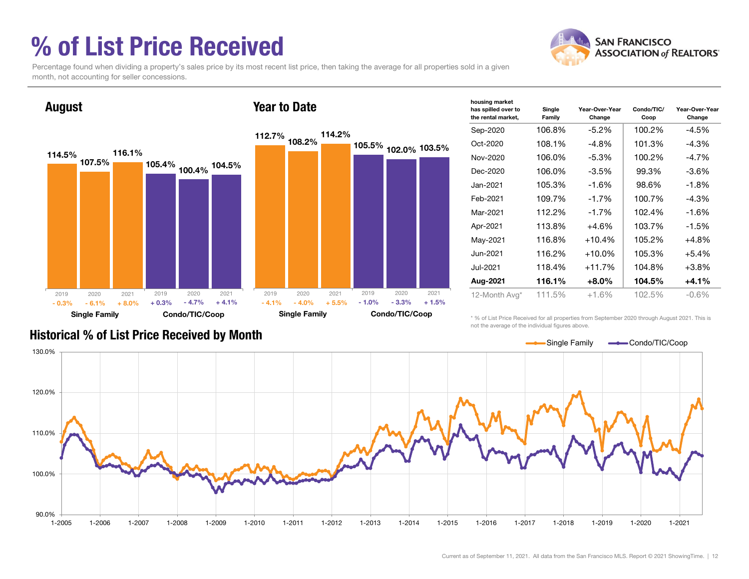### % of List Price Received

![](_page_11_Picture_1.jpeg)

Percentage found when dividing a property's sales price by its most recent list price, then taking the average for all properties sold in a given month, not accounting for seller concessions.

![](_page_11_Figure_3.jpeg)

| housing market<br>has spilled over to<br>the rental market, | Single<br>Family | Year-Over-Year<br>Change | Condo/TIC/<br>Coop | Year-Over-Year<br>Change |
|-------------------------------------------------------------|------------------|--------------------------|--------------------|--------------------------|
| Sep-2020                                                    | 106.8%           | $-5.2\%$                 | 100.2%             | -4.5%                    |
| Oct-2020                                                    | 108.1%           | $-4.8%$                  | 101.3%             | -4.3%                    |
| Nov-2020                                                    | 106.0%           | $-5.3%$                  | 100.2%             | $-4.7\%$                 |
| Dec-2020                                                    | 106.0%           | $-3.5%$                  | 99.3%              | $-3.6\%$                 |
| Jan-2021                                                    | 105.3%           | $-1.6%$                  | 98.6%              | $-1.8%$                  |
| Feb-2021                                                    | 109.7%           | $-1.7%$                  | 100.7%             | $-4.3%$                  |
| Mar-2021                                                    | 112.2%           | $-1.7%$                  | 102.4%             | $-1.6%$                  |
| Apr-2021                                                    | 113.8%           | $+4.6%$                  | 103.7%             | $-1.5%$                  |
| May-2021                                                    | 116.8%           | $+10.4%$                 | 105.2%             | $+4.8%$                  |
| Jun-2021                                                    | 116.2%           | $+10.0\%$                | 105.3%             | $+5.4%$                  |
| Jul-2021                                                    | 118.4%           | $+11.7%$                 | 104.8%             | $+3.8%$                  |
| Aug-2021                                                    | 116.1%           | $+8.0\%$                 | 104.5%             | $+4.1%$                  |
| 12-Month Avg*                                               | 111.5%           | $+1.6\%$                 | 102.5%             | -0.6%                    |

Historical % of List Price Received by Month

\* % of List Price Received for all properties from September 2020 through August 2021. This is not the average of the individual figures above.

![](_page_11_Figure_7.jpeg)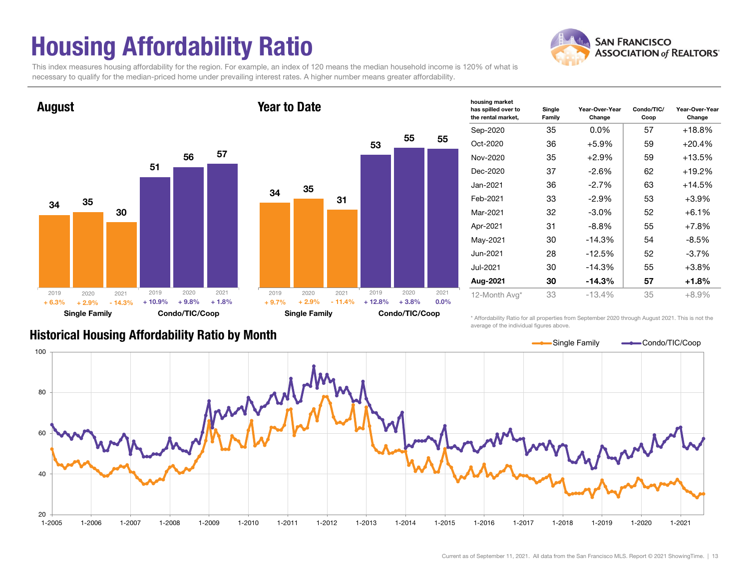## Housing Affordability Ratio

![](_page_12_Picture_1.jpeg)

This index measures housing affordability for the region. For example, an index of 120 means the median household income is 120% of what is necessary to qualify for the median-priced home under prevailing interest rates. A higher number means greater affordability.

Year to Date

![](_page_12_Figure_3.jpeg)

| Year to Date |                      |          |          |                |      |
|--------------|----------------------|----------|----------|----------------|------|
|              |                      |          | 53       | 55             | 55   |
|              |                      |          |          |                |      |
| 34           | 35                   | 31       |          |                |      |
|              |                      |          |          |                |      |
|              |                      |          |          |                |      |
|              |                      |          |          |                |      |
|              |                      |          |          |                |      |
| 2019         | 2020                 | 2021     | 2019     | 2020           | 2021 |
| $+9.7%$      | $+2.9%$              | $-11.4%$ | $+12.8%$ | $+3.8%$        | 0.0% |
|              | <b>Single Family</b> |          |          | Condo/TIC/Coop |      |

| has spilled over to<br>the rental market, | Single<br>Family | Year-Over-Year<br>Change | Condo/TIC/<br>Coop | Year-Over-Year<br>Change |
|-------------------------------------------|------------------|--------------------------|--------------------|--------------------------|
| Sep-2020                                  | 35               | $0.0\%$                  | 57                 | $+18.8%$                 |
| Oct-2020                                  | 36               | $+5.9\%$                 | 59                 | +20.4%                   |
| Nov-2020                                  | 35               | +2.9%                    | 59                 | +13.5%                   |
| Dec-2020                                  | 37               | 62                       | +19.2%             |                          |
| Jan-2021                                  | 36               | $-2.7%$                  | 63                 | +14.5%                   |
| Feb-2021                                  | 33               | $-2.9%$                  | 53                 | $+3.9%$                  |
| Mar-2021                                  | 32               | $-3.0\%$                 | 52                 | $+6.1%$                  |
| Apr-2021                                  | 31               | $-8.8\%$                 | 55                 | $+7.8%$                  |
| May-2021                                  | 30               | $-14.3%$                 | 54                 | $-8.5%$                  |
| Jun-2021                                  | 28               | $-12.5%$                 | 52                 | $-3.7\%$                 |
| Jul-2021                                  | 30               | $-14.3%$                 | 55                 | $+3.8%$                  |
| Aug-2021                                  | 30               | $-14.3%$                 | 57                 | $+1.8%$                  |
| 12-Month Avg*                             | 33               | $-13.4%$                 | 35                 | $+8.9%$                  |

housing market

\* Affordability Ratio for all properties from September 2020 through August 2021. This is not the average of the individual figures above.

![](_page_12_Figure_7.jpeg)

#### Historical Housing Affordability Ratio by Month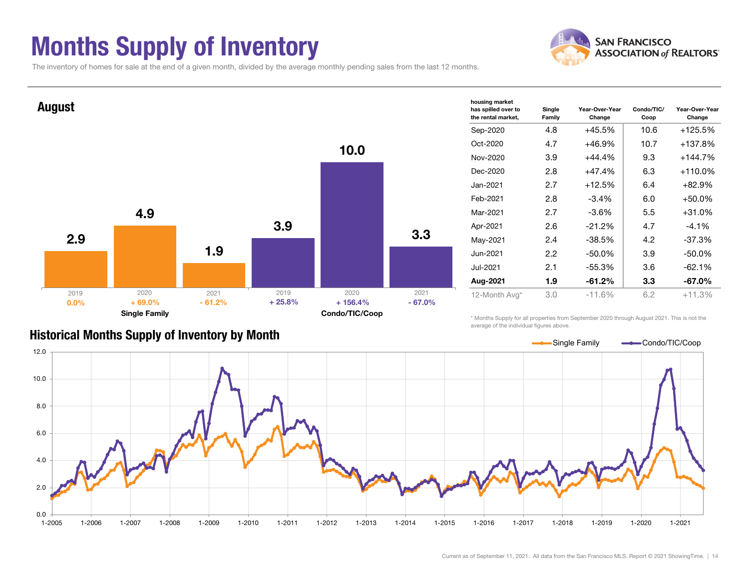### Months Supply of Inventory

![](_page_13_Picture_1.jpeg)

The inventory of homes for sale at the end of a given month, divided by the average monthly pending sales from the last 12 months.

![](_page_13_Figure_3.jpeg)

#### Historical Months Supply of Inventory by Month

\* Months Supply for all properties from September 2020 through August 2021. This is not the average of the individual figures above.

![](_page_13_Figure_6.jpeg)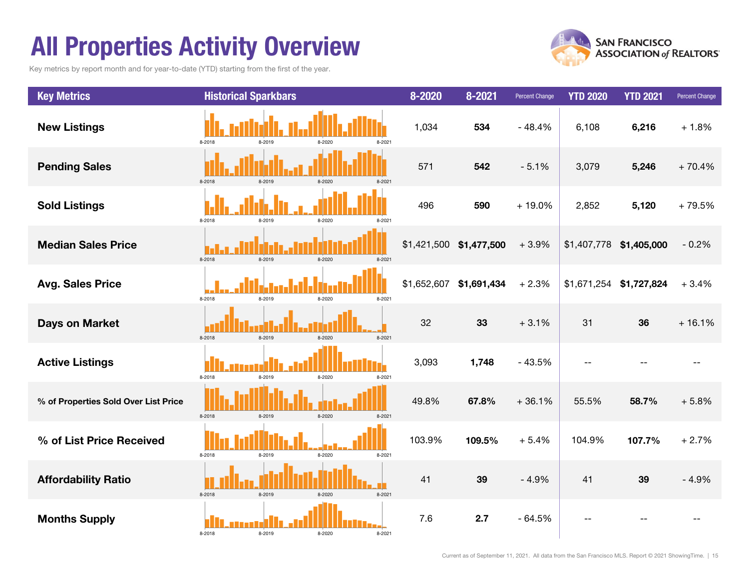### All Properties Activity Overview

Key metrics by report month and for year-to-date (YTD) starting from the first of the year.

![](_page_14_Picture_2.jpeg)

![](_page_14_Figure_3.jpeg)